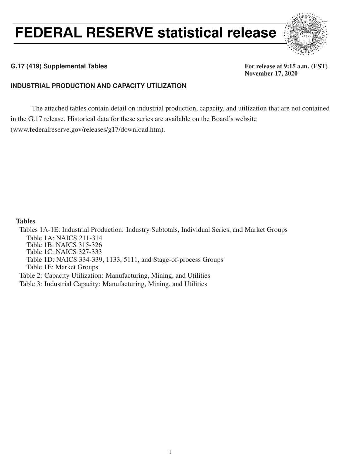# FEDERAL RESERVE statistical release



### G.17 (419) Supplemental Tables **For release at 9:15 a.m.** (EST)

November 17, 2020

### **INDUSTRIAL PRODUCTION AND CAPACITY UTILIZATION**

The attached tables contain detail on industrial production, capacity, and utilization that are not contained in the G.17 release. Historical data for these series are available on the Board's website (www.federalreserve.gov/releases/g17/download.htm).

### Tables

Tables 1A-1E: Industrial Production: Industry Subtotals, Individual Series, and Market Groups Table 1A: NAICS 211-314 Table 1B: NAICS 315-326 Table 1C: NAICS 327-333 Table 1D: NAICS 334-339, 1133, 5111, and Stage-of-process Groups Table 1E: Market Groups Table 2: Capacity Utilization: Manufacturing, Mining, and Utilities

Table 3: Industrial Capacity: Manufacturing, Mining, and Utilities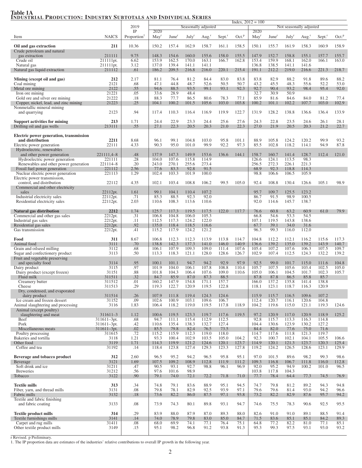## Table 1A<br><u>Industrial Production: Industry Subtotals and Individual Series</u>

|                                                                         |                                 | 2019                    |                  |                   |                   | Seasonally adjusted |                      |                   | $Index, 2012 = 100$ | Not seasonally adjusted |                   |                   |                      |                   |  |  |
|-------------------------------------------------------------------------|---------------------------------|-------------------------|------------------|-------------------|-------------------|---------------------|----------------------|-------------------|---------------------|-------------------------|-------------------|-------------------|----------------------|-------------------|--|--|
|                                                                         |                                 | IP                      | 2020             |                   |                   |                     |                      |                   | 2020                |                         |                   |                   |                      |                   |  |  |
| Item                                                                    | <b>NAICS</b>                    | Proportion <sup>1</sup> | May <sup>r</sup> | June <sup>r</sup> | July <sup>r</sup> | Aug <sup>r</sup>    | $Sept.$ <sup>r</sup> | Oct. <sup>p</sup> | $\text{May}^r$      | June <sup>r</sup>       | July <sup>r</sup> | Aug. <sup>r</sup> | $Sept.$ <sup>r</sup> | Oct. <sup>p</sup> |  |  |
| Oil and gas extraction<br>Crude petroleum and natural                   | 211                             | 10.36                   | 150.2            | 157.4             | 162.9             | 158.7               | 161.1                | 158.5             | 150.1               | 155.7                   | 161.9             | 158.3             | 160.9                | 158.9             |  |  |
| gas extraction                                                          | 211111                          | 9.75                    | 148.3            | 154.6             | 160.0             | 155.6               | 158.0                | 155.5             | 147.9               | 152.7                   | 158.8             | 155.1             | 157.7                | 155.7             |  |  |
| Crude oil<br>Natural gas                                                | 211111pt.<br>211111pt.          | 6.62<br>3.12            | 153.9<br>137.0   | 162.5<br>139.4    | 170.0<br>141.1    | 163.1<br>141.1      | 166.7                | 162.8             | 153.4<br>136.8      | 159.9<br>138.5          | 168.1<br>141.1    | 162.0<br>141.6    | 166.1                | 163.0             |  |  |
| Natural gas liquid extraction                                           | 211112                          | .61                     | 186.2            | 209.5             | 216.8             | 216.0               | 220.1                | 215.4             | 191.1               | 212.2                   | 219.0             | 216.6             | 221.3                | 218.7             |  |  |
| Mining (except oil and gas)                                             | 212                             | 2.17                    | 81.1             | 76.4              | 81.2              | 84.4                | 83.0                 | 83.8              | 83.8                | 82.9                    | 88.2              | 91.8              | 89.6                 | 88.2              |  |  |
| Coal mining<br>Metal ore mining                                         | 2121<br>2122                    | .68<br>.55              | 47.1<br>94.6     | 44.8<br>88.5      | 48.7<br>93.5      | 52.6<br>99.1        | 50.5<br>93.1         | 50.7<br>92.3      | 43.2<br>92.7        | 45.5<br>90.4            | 48.3<br>93.2      | 55.6<br>98.4      | 52.2<br>95.4         | 53.0<br>92.0      |  |  |
| Iron ore mining                                                         | 21221                           | .05                     | 33.6             | 28.9              | 48.4              |                     |                      |                   | 32.7                | 30.9                    | 50.9              |                   |                      |                   |  |  |
| Gold ore and silver ore mining<br>Copper, nickel, lead, and zinc mining | 21222<br>21223                  | .18<br>.25              | 88.3<br>104.1    | 77.7<br>100.2     | 86.5<br>101.5     | 80.6<br>105.6       | 78.3<br>103.0        | 77.1<br>103.8     | 85.9<br>100.2       | 81.6<br>101.1           | 84.6<br>102.2     | 84.0<br>107.7     | 81.2<br>103.0        | 77.4<br>102.9     |  |  |
| Nonmetallic mineral mining<br>and quarrying                             | 2123                            | .94                     | 117.4            | 110.3             | 116.4             | 116.9               | 119.9                | 122.7             | 131.9               | 128.2                   | 138.8             | 136.6             | 136.4                | 133.9             |  |  |
| <b>Support activities for mining</b>                                    | 213                             | 1.71                    | 24.4             | 22.9              | 23.3              | 24.4                | 25.6                 | 27.6              | 24.3                | 22.8                    | 23.5              | 24.6              | 26.1                 | 28.1              |  |  |
| Drilling oil and gas wells                                              | 213111                          | .55                     | 27.1             | 22.3              | 20.5              | 20.3                | 21.0                 | 22.3              | 27.0                | 21.9                    | 20.5              | 20.3              | 21.2                 | 22.7              |  |  |
| Electric power generation, transmission                                 |                                 |                         |                  |                   |                   |                     |                      |                   |                     |                         |                   |                   |                      |                   |  |  |
| and distribution<br>Electric power generation                           | 2211<br>22111                   | 8.68<br>4.33            | 96.1<br>90.3     | 99.1<br>95.0      | 104.8<br>101.0    | 103.0<br>99.9       | 95.8<br>92.2         | 101.1<br>97.3     | 88.9<br>85.5        | 105.8<br>102.8          | 124.2<br>118.2    | 120.2<br>114.1    | 99.9<br>94.9         | 93.2<br>87.8      |  |  |
| Hydroelectric, renewables                                               |                                 |                         |                  |                   |                   |                     |                      |                   |                     |                         |                   |                   |                      |                   |  |  |
| and other power generation<br>Hydroelectric power generation            | 221111,4-8<br>221111            | .48<br>.28              | 137.9<br>104.0   | 147.3<br>107.6    | 149.9<br>115.8    | 153.6<br>114.9      | 136.6                | 144.1             | 158.7<br>126.6      | 160.7<br>124.1          | 141.4<br>113.5    | 128.7<br>98.3     | 112.4                | 121.0             |  |  |
| Renewables and other power generation<br>Fossil fuel power generation   | 221114-8<br>221112              | .20<br>2.56             | 243.0<br>77.6    | 270.1<br>83.3     | 255.6<br>92.8     | 273.4<br>91.5       |                      |                   | 256.5<br>68.9       | 272.3<br>92.3           | 226.1<br>118.8    | 221.3<br>114.3    |                      |                   |  |  |
| Nuclear electric power generation                                       | 221113                          | 1.29                    | 102.4            | 103.3             | 101.9             | 100.0               |                      |                   | 98.8                | 106.6                   | 106.5             | 105.9             |                      |                   |  |  |
| Electric power transmission,<br>control, and distribution               | 22112                           | 4.35                    | 102.1            | 103.4             | 108.8             | 106.2               | 99.5                 | 105.0             | 92.4                | 108.8                   | 130.4             | 126.6             | 105.1                | 98.9              |  |  |
| Commercial and other electricity<br>sales                               | 22112pt.                        | 1.61                    | 99.1             | 104.1             | 110.4             | 107.2               |                      |                   | 95.7                | 109.7                   | 125.5             | 123.2             |                      |                   |  |  |
| Industrial electricity sales<br>Residential electricity sales           | 22112pt.<br>22112pt.            | .71<br>2.03             | 85.3<br>110.6    | 88.5<br>108.3     | 92.3<br>113.6     | 92.0<br>110.6       |                      |                   | 86.7<br>92.0        | 91.5<br>114.6           | 98.9<br>145.7     | 100.5<br>138.7    |                      |                   |  |  |
|                                                                         |                                 |                         |                  |                   |                   |                     |                      |                   |                     |                         |                   |                   |                      |                   |  |  |
| Natural gas distribution<br>Commercial and other gas sales              | 2212<br>2212pt.                 | 1.74<br>.31             | 125.7<br>106.8   | 117.3<br>104.8    | 119.5<br>106.0    | 117.5<br>105.3      | 122.0                | 117.7             | 76.6<br>66.8        | 60.8<br>54.6            | 63.2<br>53.3      | 60.9<br>54.5      | 61.0                 | 79.9              |  |  |
| Industrial gas sales                                                    | 2212pt.<br>2212pt.              | .11<br>.92              | 112.5<br>135.0   | 117.3<br>118.4    | 124.2<br>118.5    | 122.0<br>116.6      |                      |                   | 107.1<br>67.7       | 119.5<br>39.1           | 143.8<br>34.0     | 138.6<br>31.6     |                      |                   |  |  |
| Residential gas sales<br>Gas transmission                               | 2212pt.                         | .41                     | 115.2            | 117.9             | 124.2             | 121.2               |                      |                   | 96.3                | 99.3                    | 116.0             | 112.0             |                      |                   |  |  |
| Food                                                                    | 311                             | 8.67                    | 106.8            | 112.3             | 112.3             | 113.9               | 113.8                | 114.7             | 104.8               | 112.2                   | 112.1             | 116.2             | 115.6                | 117.3             |  |  |
| Animal food<br>Grain and oilseed milling                                | 3111<br>3112                    | .70<br>.68              | 138.8<br>106.1   | 142.3<br>107.9    | 137.3<br>109.3    | 141.0<br>109.0      | 146.0<br>111.4       | 140.9<br>107.6    | 136.6<br>105.4      | 139.2<br>107.2          | 135.0<br>107.6    | 139.2<br>106.3    | 143.9<br>107.5       | 140.7<br>109.7    |  |  |
| Sugar and confectionery product                                         | 3113                            | .50                     | 113.3            | 118.3             | 121.1             | 128.0               | 128.6                | 126.7             | 102.9               | 107.4                   | 112.5             | 124.3             | 132.2                | 139.2             |  |  |
| Fruit and vegetable preserving<br>and specialty food                    | 3114                            | .95                     | 100.1            | 101.1             | 94.7              | 94.2                | 92.9                 | 97.9              | 92.5                | 99.0                    | 101.7             | 115.0             | 111.6                | 104.8             |  |  |
| Dairy product<br>Dairy product (except frozen)                          | 3115<br>31151                   | .97<br>.88              | 101.9<br>101.8   | 104.0<br>104.3    | 106.1<br>106.4    | 107.8<br>107.6      | 108.8<br>109.0       | 110.4<br>110.6    | 105.7<br>105.0      | 107.5<br>106.1          | 105.6<br>104.5    | 103.4<br>101.7    | 102.5<br>102.3       | 105.0<br>105.7    |  |  |
| Fluid milk                                                              | 311511                          | .32                     | 84.7             | 85.9              | 87.0              | 87.3                | 88.5                 |                   | 87.8                | 87.8                    | 86.5              | 85.8              | 85.7                 |                   |  |  |
| Creamery butter<br>Cheese                                               | 311512<br>311513                | .01<br>.29              | 160.2<br>119.3   | 147.9<br>122.7    | 154.8<br>120.9    | 171.1<br>119.5      | 157.7<br>122.8       |                   | 166.0<br>118.1      | 137.2<br>123.1          | 135.8<br>118.7    | 141.4<br>116.3    | 138.8<br>120.9       |                   |  |  |
| Dry, condensed, and evaporated<br>dairy product                         | 311514                          | .26                     | 107.9            | 111.8             | 119.4             | 124.3               | 124.6                |                   | 115.9               | 115.7                   | 116.5             | 109.6             | 107.2                |                   |  |  |
| Ice cream and frozen dessert                                            | 31152                           | .09                     | 102.6            | 100.9             | 103.1             | 109.6               | 106.7                |                   | 112.4               | 120.7                   | 116.1             | 120.6             | 104.8                |                   |  |  |
| Animal slaughtering and processing<br>Animal (except poultry)           | 3116                            | 1.83                    | 106.4            | 118.2             | 119.0             | 119.5               | 117.8                | 118.9             | 104.2               | 119.6                   | 115.0             | 121.1             | 119.3                | 124.6             |  |  |
| slaughtering and meat<br>Beef                                           | $311611 - 3$<br>$311611 - 3pt.$ | 1.12<br>.68             | 100.6<br>94.7    | 119.5<br>111.1    | 123.3<br>115.4    | 119.7<br>112.9      | 117.6<br>112.5       | 119.5             | 97.2<br>92.8        | 120.9<br>115.7          | 117.0<br>113.3    | 120.9<br>116.3    | 118.9<br>114.8       | 125.2             |  |  |
| Pork                                                                    | $311611 - 3pt.$                 | .42                     | 110.6            | 135.4             | 138.3             | 132.7               | 127.4                |                   | 104.4               | 130.6                   | 123.9             | 130.2             | 127.2                |                   |  |  |
| Miscellaneous meats<br>Poultry processing                               | $311611 - 3pt.$<br>311615       | .02<br>.72              | 85.5<br>115.2    | 79.8<br>115.9     | 82.4<br>112.3     | 76.5<br>119.0       | 73.5<br>118.0        |                   | 84.4<br>114.7       | 82.0<br>117.6           | 77.6<br>111.8     | 75.0<br>121.3     | 71.6<br>119.7        |                   |  |  |
| Bakeries and tortilla<br>Other food                                     | 3118<br>3119                    | 1.21<br>1.71            | 93.3<br>114.3    | 100.4<br>119.9    | 102.9<br>121.2    | 103.5<br>124.6      | 105.0<br>120.1       | 104.2<br>123.7    | 92.3<br>114.9       | 100.7<br>120.1          | 102.1<br>121.3    | 104.1<br>123.7    | 105.5<br>120.3       | 106.6<br>125.4    |  |  |
| Coffee and tea                                                          | 31192                           | .14                     | 118.4            | 123.8             | 127.4             | 129.3               | 123.3                | 127.8             | 119.2               | 124.2                   | 126.5             | 128.6             | 123.1                | 129.9             |  |  |
| Beverage and tobacco product                                            | 312                             | 2.60                    | 96.5             | 95.2              | 94.2              | 96.5                | 95.8                 | 95.1              | 97.0                | 101.5                   | 89.6              | 98.2              | 99.3                 | 98.6              |  |  |
| Beverage<br>Soft drink and ice                                          | 3121<br>31211                   | 1.69<br>.47             | 107.5<br>90.5    | 109.2<br>93.1     | 108.9<br>92.7     | 112.8<br>98.8       | 111.9<br>96.1        | 111.2<br>96.9     | 109.3<br>92.0       | 116.8<br>95.2           | 106.7<br>94.9     | 111.8<br>100.2    | 116.0<br>101.0       | 112.8<br>96.5     |  |  |
| <b>Breweries</b>                                                        | 31212                           | .56<br>.90              | 97.6<br>79.1     | 101.6             | 98.9              | 72.2                | 71.8                 | 71.0              | 103.8               | 117.8                   | 104.3             |                   |                      | 76.9              |  |  |
| Tobacco                                                                 | 3122                            |                         |                  | 74.0              | 72.1              |                     |                      |                   | 77.7                | 78.4                    | 64.4              | 77.3              | 74.5                 |                   |  |  |
| <b>Textile mills</b><br>Fiber, yarn, and thread mills                   | 313<br>3131                     | .34<br>.08              | 74.8<br>79.8     | 79.1<br>78.1      | 83.6<br>82.9      | 88.9<br>92.5        | 95.1<br>93.9         | 94.5<br>97.1      | 74.7<br>79.6        | 79.8<br>79.6            | 81.2<br>81.4      | 89.2<br>93.0      | 94.3<br>94.2         | 94.8<br>96.6      |  |  |
| Fabric mills<br>Textile and fabric finishing                            | 3132                            | .18                     | 73.6             | 82.2              | 86.0              | 87.5                | 97.1                 | 93.8              | 73.2                | 82.2                    | 82.9              | 87.6              | 95.7                 | 94.2              |  |  |
| and fabric coating                                                      | 3133                            | .08                     | 73.9             | 74.3              | 80.1              | 89.8                | 93.1                 | 94.7              | 74.6                | 75.5                    | 78.3              | 90.6              | 92.5                 | 95.5              |  |  |
| <b>Textile product mills</b>                                            | 314                             | .29                     | 83.9             | 88.0              | 87.9              | 87.0                | 89.3                 | 88.0              | 82.6                | 91.0                    | 91.0              | 89.1              | 88.5                 | 91.4              |  |  |
| Textile furnishings mills<br>Carpet and rug mills                       | 3141<br>31411                   | .14<br>.08              | 74.0<br>68.0     | 78.9<br>69.9      | 79.8<br>74.1      | 83.0<br>77.1        | 85.0<br>76.4         | 84.7<br>75.1      | 71.5<br>64.8        | 83.6<br>77.2            | 85.1<br>82.2      | 85.1<br>81.0      | 84.2<br>77.1         | 89.3<br>85.1      |  |  |
| Other textile product mills                                             | 3149                            | .15                     | 95.1             | 98.2              | 96.8              | 91.2                | 93.8                 | 91.3              | 95.3                | 99.3                    | 97.5              | 93.1              | 93.0                 | 93.2              |  |  |
|                                                                         |                                 |                         |                  |                   |                   |                     |                      |                   |                     |                         |                   |                   |                      |                   |  |  |

r Revised. p Preliminary. 1. The IP proportion data are estimates of the industries' relative contributions to overall IP growth in the following year.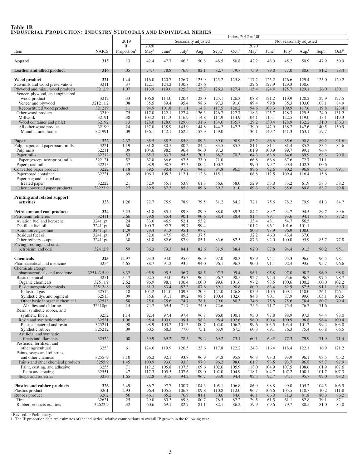|                                                                    |                      | 2019                    |                |                   |                   | Seasonally adjusted |                    | Index, $2012 = 100$ | Not seasonally adjusted |                   |                |                  |                      |                   |  |  |
|--------------------------------------------------------------------|----------------------|-------------------------|----------------|-------------------|-------------------|---------------------|--------------------|---------------------|-------------------------|-------------------|----------------|------------------|----------------------|-------------------|--|--|
|                                                                    |                      | IP                      | 2020           |                   |                   |                     |                    |                     | 2020                    |                   |                |                  |                      |                   |  |  |
| Item                                                               | <b>NAICS</b>         | Proportion <sup>1</sup> | $\text{May}^r$ | June <sup>r</sup> | July <sup>r</sup> | Aug <sup>r</sup>    | Sept. <sup>r</sup> | Oct. <sup>p</sup>   | $\text{May}^r$          | June <sup>r</sup> | July           | Aug <sup>r</sup> | $Sept.$ <sup>r</sup> | Oct. <sup>p</sup> |  |  |
| <b>Apparel</b>                                                     | 315                  | .13                     | 42.4           | 47.7              | 46.3              | 50.8                | 48.5               | 50.8                | 42.2                    | 48.0              | 45.2           | 50.9             | 47.9                 | 50.9              |  |  |
| Leather and allied product                                         | 316                  | .05                     | 74.7           | 78.8              | 76.9              | 82.1                | 82.7               | 79.7                | 75.9                    | 79.0              | 77.0           | 80.6             | 81.2                 | 78.4              |  |  |
| Wood product                                                       | 321                  | 1.44                    | 116.0          | 120.7             | 126.7             | 125.9               | 125.2              | 125.8               | 117.2                   | 125.2             | 126.6          | 129.4            | 125.0                | 129.2             |  |  |
| Sawmills and wood preservation                                     | 3211                 | .37                     | 122.1          | 124.2             | 130.8             | 127.6               |                    |                     | 122.6                   | 127.9             | 129.3          | 130.6            |                      |                   |  |  |
| Plywood and misc. wood products<br>Veneer, plywood, and engineered | 3212,9               | 1.07                    | 113.9          | 119.6             | 125.3             | 125.3               | 126.3              | 127.4               | 115.4                   | 124.4             | 125.7          | 129.1            | 126.0                | 130.1             |  |  |
| wood product                                                       | 3212                 | .33                     | 106.8          | 114.0             | 120.4             | 123.0               | 125.1              | 126.3               | 108.8                   | 121.2             | 119.9          | 128.2            | 129.9                | 127.5             |  |  |
| Veneer and plywood<br>Reconstituted wood product                   | 321211,2<br>321219   | .08<br>.11              | 85.5<br>94.9   | 89.4<br>101.8     | 95.4<br>111.1     | 98.6<br>114.8       | 97.3<br>117.5      | 91.6<br>120.2       | 89.4<br>94.6            | 99.8<br>108.3     | 85.3<br>109.9  | 103.0<br>117.6   | 108.1<br>119.8       | 84.9<br>123.4     |  |  |
| Other wood product                                                 | 3219                 | .75                     | 117.0          | 122.1             | 127.4             | 126.3               | 126.7              | 127.7               | 118.3                   | 125.7             | 128.3          | 129.5            | 124.0                | 131.2             |  |  |
| Millwork                                                           | 32191                | .38                     | 103.2          | 111.3             | 116.9             | 114.8               | 114.9              | 114.9               | 104.1                   | 115.1             | 122.5          | 119.0            | 113.1                | 119.3             |  |  |
| Wood container and pallet<br>All other wood product                | 32192<br>32199       | .13<br>.24              | 128.0<br>137.0 | 128.0<br>138.9    | 129.6<br>145.9    | 131.6<br>144.8      | 134.6<br>144.2     | 135.7<br>147.3      | 129.2<br>139.0          | 130.4<br>142.9    | 128.9<br>138.2 | 132.2<br>147.6   | 131.0<br>140.5       | 136.3<br>150.9    |  |  |
| Manufactured home                                                  | 321991               | .09                     | 136.1          | 142.1             | 162.5             | 157.9               | 159.0              |                     | 136.1                   | 149.7             | 141.3          | 163.1            | 159.7                |                   |  |  |
|                                                                    |                      |                         |                |                   |                   |                     |                    |                     |                         |                   |                |                  |                      |                   |  |  |
| Paper<br>Pulp, paper, and paperboard mills                         | 322<br>3221          | 2.37<br>1.19            | 85.5<br>81.8   | 85.3<br>80.5      | 85.8<br>80.2      | 89.3<br>84.2        | 89.0<br>83.5       | 90.9<br>85.7        | 85.2<br>81.1            | 86.6<br>81.1      | 85.6<br>81.4   | 90.8<br>85.2     | 89.2<br>83.5         | 91.6<br>84.6      |  |  |
| Pulp mills                                                         | 32211                | .09                     | 104.6          | 98.5              | 96.4              | 96.0                | 97.3               |                     | 101.9                   | 100.9             | 99.7           | 99.1             | 96.4                 |                   |  |  |
| Paper mills                                                        | 32212                | .53                     | 65.3           | 63.7              | 64.5              | 70.1                | 68.2               | 70.3                | 64.3                    | 63.6              | 64.6           | 69.9             | 68.3                 | 70.0              |  |  |
| Paper (except newsprint) mills<br>Paperboard mills                 | 322121<br>32213      | .52<br>.57              | 67.8<br>98.9   | 66.6<br>98.7      | 67.5<br>97.3      | 73.0<br>100.2       | 71.0<br>100.7      |                     | 66.8<br>99.0            | 66.6<br>99.7      | 67.6<br>99.4   | 72.7<br>102.3    | 71.1<br>100.6        |                   |  |  |
| Converted paper product                                            | 3222                 | 1.18                    | 89.5           | 90.4              | 91.8              | 94.8                | 94.8               | 96.5                | 89.6                    | 92.6              | 90.2           | 96.8             | 95.3                 | 99.1              |  |  |
| Paperboard container                                               | 32221                | .69                     | 106.3          | 108.3             | 112.1             | 112.8               | 115.1              |                     | 106.8                   | 112.5             | 109.4          | 116.4            | 115.6                |                   |  |  |
| Paper bag and coated and<br>treated paper                          | 32222                | .21                     | 52.9           | 55.1              | 53.9              | 61.3                | 56.6               | 58.0                | 52.9                    | 55.0              | 53.2           | 61.9             | 58.3                 | 58.2              |  |  |
| Other converted paper products                                     | 32223.9              | .27                     | 89.9           | 87.3              | 85.8              | 89.6                | 89.2               | 91.0                | 89.3                    | 87.5              | 85.6           | 89.8             | 88.7                 | 89.8              |  |  |
|                                                                    |                      |                         |                |                   |                   |                     |                    |                     |                         |                   |                |                  |                      |                   |  |  |
| Printing and related support<br>activities                         | 323                  | 1.26                    | 72.7           | 75.9              | 78.9              | 79.5                | 81.2               | 84.2                | 72.1                    | 75.6              | 78.2           | 79.9             | 81.3                 | 84.7              |  |  |
| Petroleum and coal products                                        | 324                  | 3.25                    | 81.8           | 85.1              | 89.8              | 89.9                | 88.0               | 89.3                | 84.2                    | 89.7              | 94.7           | 94.5             | 89.7                 | 89.6              |  |  |
| Petroleum refineries                                               | 32411                | 2.66                    | 79.8           | 85.4              | 90.1              | 90.6                | 88.4               | 88.4                | 81.4                    | 89.1              | 93.6           | 94.1             | 88.5                 | 87.2              |  |  |
| Aviation fuel and kerosene                                         | 32411pt.             | .24                     | 33.6           | 46.9              | 52.1              | 53.2                |                    |                     | 33.4                    | 48.1              | 54.7           | 56.5             |                      |                   |  |  |
| Distillate fuel oil<br>Automotive gasoline                         | 32411pt.<br>32411pt. | .68<br>1.29             | 100.3<br>79.4  | 92.7<br>91.3      | 99.7<br>95.1      | 99.4<br>97.7        |                    |                     | 101.2<br>80.3           | 96.1<br>93.9      | 101.6<br>96.9  | 101.1<br>100.0   |                      |                   |  |  |
| Residual fuel oil                                                  | 32411pt.             | .07                     | 32.0           | 47.9              | 45.5              | 37.5                |                    |                     | 32.2                    | 46.0              | 43.4           | 37.0             |                      |                   |  |  |
| Other refinery output                                              | 32411pt.             | .38                     | 81.8           | 82.6              | 87.9              | 85.1                | 83.6               | 82.5                | 87.3                    | 92.0              | 100.0          | 95.9             | 85.7                 | 77.8              |  |  |
| Paving, roofing, and other<br>petroleum and coal                   | 32412,9              | .59                     | 86.3           | 79.3              | 84.1              | 82.6                | 81.9               | 88.4                | 92.0                    | 87.8              | 94.4           | 91.3             | 90.2                 | 95.1              |  |  |
|                                                                    |                      |                         |                |                   |                   |                     |                    |                     |                         |                   |                |                  |                      |                   |  |  |
| <b>Chemicals</b><br>Pharmaceutical and medicine                    | 325<br>3254          | 12.97<br>4.65           | 93.3<br>88.7   | 94.0<br>91.2      | 95.6<br>93.5      | 96.9<br>94.0        | 97.0<br>96.1       | 98.3<br>96.3        | 93.9<br>90.0            | 94.1<br>91.1      | 95.3<br>92.4   | 96.6<br>93.6     | 96.5<br>95.7         | 98.1<br>96.6      |  |  |
| Chemicals except                                                   |                      |                         |                |                   |                   |                     |                    |                     |                         |                   |                |                  |                      |                   |  |  |
| pharmaceuticals and medicine                                       | $3251 - 3,5 - 9$     | 8.32                    | 95.9           | 95.5              | 96.7              | 98.5                | 97.3               | 99.4                | 96.1                    | 95.8              | 97.0           | 98.2             | 96.9                 | 98.8              |  |  |
| <b>Basic</b> chemical<br>Organic chemicals                         | 3251<br>32511,9      | 3.47<br>2.62            | 92.5<br>96.9   | 94.0<br>98.1      | 95.3<br>100.4     | 96.5<br>100.0       | 96.7<br>99.6       | 98.5<br>101.6       | 92.7<br>97.2            | 94.3<br>98.5      | 95.6<br>100.6  | 96.7<br>100.2    | 97.5<br>100.0        | 98.7<br>102.2     |  |  |
| Basic inorganic chemicals                                          | $32512 - 8$          | .85                     | 81.3           | 83.4              | 82.3              | 87.6                | 89.1               | 90.8                | 80.9                    | 83.4              | 82.9           | 87.5             | 91.1                 | 89.9              |  |  |
| Industrial gas                                                     | 32512                | .18                     | 104.2          | 111.0             | 109.3             | 120.3               | 124.0              | 126.8               | 103.9                   | 110.5             | 109.1          | 118.0            | 126.1                | 126.1             |  |  |
| Synthetic dye and pigment                                          | 32513<br>32518       | .09<br>.58              | 85.6<br>15.0   | 91.1<br>75.6      | 89.2<br>14.1      | 98.5<br>78.1        | 100.4<br>79.0      | 102.6<br>80.3       | 84.8<br>74.6            | 90.1<br>75.8      | 87.9<br>75.6   | 99.6<br>78.4     | 105.1<br>80.7        | 102.5<br>79.4     |  |  |
| Other basic inorganic chemical<br>Alkalies and chlorine            | 32518pt.             | .14                     | 74.7           | 69.4              | 71.7              | 74.0                | 72.6               |                     | 75.5                    | 71.7              | 75.4           | 76.2             | 71.6                 |                   |  |  |
| Resin, synthetic rubber, and                                       |                      |                         |                |                   |                   |                     |                    |                     |                         |                   |                |                  |                      |                   |  |  |
| synthetic fibers<br>Resin and synthetic rubber                     | 3252<br>32521        | 1.14<br>1.06            | 92.4<br>95.4   | 97.4<br>100.0     | 97.4<br>99.1      | 96.8<br>98.3        | 96.0<br>98.4       | 100.1<br>102.6      | 93.0<br>96.0            | 97.8<br>100.4     | 98.9<br>100.9  | 97.3<br>98.8     | 94.4<br>96.4         | 98.0<br>100.4     |  |  |
| Plastics material and resin                                        | 325211               | .98                     | 98.9           | 103.2             | 101.3             | 100.7               | 102.0              | 106.2               | 99.6                    | 103.5             | 103.4          | 101.2            | 99.4                 | 103.8             |  |  |
| Synthetic rubber                                                   | 325212               | .09                     | 60.5           | 68.3              | 77.0              | 75.1                | 63.9               | 67.5                | 60.3                    | 69.1              | 76.3           | 75.4             | 66.8                 | 66.5              |  |  |
| Artificial and synthetic<br>fibers and filaments                   | 32522                | .08                     | 59.9           | 69.2              | 78.5              | 79.4                | 69.2               | 73.1                | 60.1                    | 69.2              | 77.3           | 79.9             | 71.9                 | 71.4              |  |  |
| Pesticide, fertilizer, and                                         |                      |                         |                |                   |                   |                     |                    |                     |                         |                   |                |                  |                      |                   |  |  |
| other agricultural                                                 | 3253                 | .61                     | 124.6          | 119.9             | 120.5             | 123.6               | 117.8              | 122.2               | 124.3                   | 116.4             | 118.4          | 122.1            | 116.9                | 121.2             |  |  |
| Paints, soaps and toiletries,<br>and other chemical                | $3255 - 9$           | 3.10                    | 96.2           | 92.1              | 93.8              | 96.9                | 94.8               | 95.8                | 96.3                    | 93.0              | 93.9           | 96.1             | 93.5                 | 95.2              |  |  |
| Paints and other chemical products                                 | 3255,9               | 1.45                    | 100.9          | 93.0              | 93.3              | 97.3                | 96.2               | 98.0                | 101.7                   | 93.5              | 93.7           | 96.8             | 95.7                 | 97.9              |  |  |
| Paint, coating, and adhesive                                       | 3255                 | .71                     | 117.2          | 105.8             | 107.5             | 109.6               | 102.6              | 105.9               | 118.0                   | 104.9             | 107.5          | 108.6            | 101.9                | 107.6             |  |  |
| Paint and coating<br>Soaps and toiletries                          | 32551<br>3256        | .47<br>1.65             | 117.3<br>92.8  | 105.5<br>91.5     | 107.6<br>94.2     | 109.0<br>96.7       | 102.0<br>93.9      | 104.9<br>94.4       | 118.1<br>92.5           | 104.7<br>92.7     | 107.2<br>94.1  | 108.1<br>95.7    | 101.7<br>92.0        | 107.3<br>93.2     |  |  |
|                                                                    |                      |                         |                |                   |                   |                     |                    |                     |                         |                   |                |                  |                      |                   |  |  |
| <b>Plastics and rubber products</b><br>Plastics product            | 326<br>3261          | 3.49<br>2.93            | 86.7<br>96.4   | 97.7<br>105.5     | 100.7<br>106.3    | 104.3<br>109.8      | 105.1<br>110.8     | 106.8<br>112.0      | 86.9<br>96.7            | 98.8<br>106.6     | 99.0<br>105.5  | 105.2<br>110.7   | 104.5<br>110.2       | 106.9<br>111.8    |  |  |
| Rubber product                                                     | 3262                 | .56                     | 46.1           | 65.2              | 76.9              | 81.1                | 80.6               | 84.6                | 46.1                    | 66.0              | 71.3           | 81.8             | 80.3                 | 86.2              |  |  |
| Tire                                                               | 32621                | .25                     | 29.0           | 60.3              | 69.8              | 80.7                | 78.5               | 82.2                | 29.5                    | 61.5              | 61.1           | 82.8             | 79.1                 | 87.1              |  |  |
| Rubber products ex. tires                                          | 32622,9              | .32                     | 60.6           | 69.1              | 82.7              | 81.1                | 82.1               | 86.2                | 59.9                    | 69.6              | 79.7           | 80.5             | 81.0                 | 85.0              |  |  |

# Table 1B<br>Industrial Production: Industry Subtotals and Individual Series

r Revised. p Preliminary. 1. The IP proportion data are estimates of the industries' relative contributions to overall IP growth in the following year.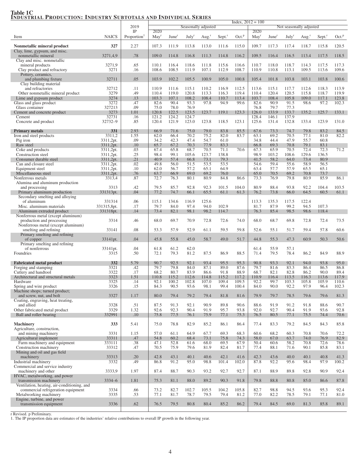#### $Index, 2012 = 100$ 2019 Seasonally adjusted Not seasonally adjusted Not seasonally adjusted<br>
TP 2020  $IP$  2020 2020 Item NAICS Proportion<sup>1</sup> May<sup>r</sup> June July<sup>r</sup> Aug.<sup>r</sup> Sept.<sup>r</sup> Oct.<sup>p</sup> May June<sup>1</sup> July<sup>r</sup> Aug.<sup>r</sup> Sept.<sup>r</sup> Oct.<sup>p</sup> Nonmetallic mineral product 327 2.27 107.3 111.9 113.8 113.0 111.6 115.0 109.7 117.3 117.4 118.7 115.8 120.5 Clay, lime, gypsum, and misc. nonmetallic mineral 3271,4,9 .78 109.0 114.8 116.8 111.3 114.8 116.2 109.5 116.4 116.5 113.4 117.5 118.5 Clay and misc. nonmetallic mineral products 3271,9 .65 110.1 116.4 118.6 111.8 115.6 116.6 110.7 118.0 118.7 114.3 117.5 117.3 Clay product and refractory 3271 .16 108.6 108.5 111.9 107.1 112.9 108.7 110.9 110.8 113.1 109.5 113.6 109.6 Pottery, ceramics, and plumbing fixture 32711 .05 103.9 102.2 105.5 100.9 105.0 100.8 105.4 101.8 103.8 103.1 103.8 100.6 Clay building material and refractories **32712** .11 110.9 111.6 115.1 110.2 116.9 112.5 113.6 115.1 117.7 112.6 118.3 113.9 Other nonmetallic mineral product 3279 .49 .110.4 119.0 120.8 113.3 116.3 119.4 110.4 120.4 120.5 115.8 118.7 119.9 .118.7 119.9 .118.7 119.9 .118.7 119.9 .118.7 119.9 .111.1 123.8 Lime and gypsum product<br>
3274 3272 103.3 107.1 108.2 108.4 110.7 113.4 103.7 108.4 105.8 109.0 117.1 123.8<br>
3272 47 82.6 90.4 93.3 97.8 94.9 99.6 82.6 90.9 91.5 98.6 97.2 102.3 Glass and glass product **3272** 3272 13 327213 336 47 82.6 90.4 93.3 97.8 94.9 99.6 82.6 90.9 91.5 99.8 container Glass container 2008 2012 13 2021 13 2021 13 2021 13 2021 13 2021 13 2021 13 2031 14 2031 15 20 20 20 20 20 20 Cement and concrete product 3273 1.01 120.8 122.5 123.5 123.7 119.1 123.3 126.0 133.9 133.7 135.2 125.7 133.1<br>Cement 32731 16 121.2 124.2 124.7 128.4 146.1 137.9 Cement 128.4 146.1 137.9 32731 .16 121.2 124.2 124.7 128.4 146.1 137.9 Concrete and product 32732–9 .85 120.4 121.9 123.0 123.8 118.5 123.1 125.6 131.4 132.8 133.4 123.9 131.0 **Primary metals** 331 331 2.93 66.9 71.6 75.0 79.0 83.8 85.5 67.6 73.3 74.7 79.8 83.2 84.5 Iron and steel products 3311,2 1.55 62.0 66.4 70.2 75.2 82.0 83.7 63.1 69.2 70.5 77.1 81.0 82.2<br>
Pig iron 3311,2 http://en. 09 34.2 42.3 47.4 54.7 61.0 34.8 44.4 47.9 55.7 60.8 Pig iron 3311,2pt. 3311,2pt. 1 .09 34.2 42.3 47.4 54.7 61.0 34.8 44.4 47.9 55.7 60.8 Raw steel 3311,2pt. 10 65.7 67.2 70.3 77.9 83.3 66.8 69.3 70.8 79.1 83.1 Coke and products 3311,2pt. 3311,2pt. 3311,2pt. 3311,2pt. 55.8 68.7 70.5 71.1 70.6 67.3 65.9 70.5 72.4 72.3 71.2 Construction steel 23311,2pt. | 25 | 98.4 99.1 105.6 123.7 138.8 | 98.9 103.2 108.6 129.6 136.5 Consumer durable steel 3311,2pt. . .21 40.9 57.4 66.8 73.1 79.3 41.5 58.2 64.0 73.4 80.9<br>Can and closure steel 3311,2pt. . . .02 49.8 56.0 51.5 53.5 53.5 53.5 54.6 59.4 55.6 58.9 56.5 Can and closure steel 3311,2pt. .02 49.8 56.0 51.5 53.5 53.5 53.5 54.6 59.4 55.6 58.9 56.5 Equipment steel 3311,2pt. .10 62.0 56.7 57.2 65.1 64.9 63.4 57.7 57.9 65.5 65.1 Miscellaneous steel 3311,2pt. .76 63.7 66.9 69.0 69.2 76.0 65.0 70.5 69.2 70.8 73.7 Nonferrous metals 3313,4 .87 72.7 76.3 80.1 80.9 84.8 86.6 73.3 76.9 79.8 80.9 85.9 86.1 Alumina and aluminum production and processing and processing 3313 |  $.42$  | 79.5 85.7 92.8 92.3 101.5 104.0 | 80.9 88.4 93.8 92.2 104.4 103.5 Primary aluminum production 331313pt. .04 77.2 74.7 66.1 65.5 61.1 61.3 76.2 73.8 66.0 64.5 60.5 61.1 Secondary smelting and alloying<br>of aluminum of aluminum 331314 .06 115.1 134.6 116.9 125.6 113.3 135.3 117.5 122.4 Misc. aluminum materials 331315,8pt. 17 79.7 84.0 97.4 94.0 102.9 81.7 87.9 99.2 94.5 107.3<br>Aluminum extruded product 331313bt. 14 73.4 82.1 98.1 98.2 114.7 76.3 85.4 98.5 98.6 118.4 Aluminum extruded product 331318pt. .14 73.4 82.1 98.1 98.2 114.7 76.3 85.4 98.5 98.6 118.4 Nonferrous metal (except aluminum) production and processing 3314 .46 68.0 69.7 70.9 72.8 72.6 74.0 68.0 68.7 69.8 72.8 72.4 73.5 Nonferrous metal (except aluminum) smelting and refining 33141 | .08 | 53.3 57.9 52.9 61.1 59.5 59.8 | 52.6 55.1 51.7 59.4 57.8 60.6 Primary smelting and refining<br>of copper of copper 33141pt. .04 45.8 55.8 45.0 58.7 49.0 51.7 44.8 55.3 47.3 60.9 50.3 50.6 Primary smelting and refining of nonferrous 33141pt.  $04 \t 61.8 \t 61.2 \t 62.0$  61.4 55.9 57.1 Foundries 3315 .50 72.1 79.3 81.2 87.5 86.9 88.5 71.4 79.5 78.4 86.2 84.9 88.9 Fabricated metal product 332 5.79 90.7 92.5 92.1 93.4 95.5 95.3 90.8 93.3 92.1 94.0 93.8 95.0<br>Foreing and stamping Forging and stamping 3321 .42 79.7 79.8 84.0 87.1 89.0 87.6 79.7 81.6 83.3 86.4 86.5 86.8<br>Cutlery and handtool 3322 .17 68.2 80.7 83.9 86.6 91.8 88.9 68.7 82.1 82.8 86.2 90.0 89.4 Cutlery and handtool **3322** 17 68.2 80.7 83.9 86.6 91.8 88.9 68.7 82.1 82.8 86.2 90.0 89.4 Architectural and structural metals 3323 1.51 110.8 115.2 112.6 114.8 115.2 117.2 110.9 116.4 113.5 116.3 113.6 117.9 Hardware 2003 3325 3325 14 92.1 100.2 102.8 107.0 109.4 109.5 92.2 99.7 103.3 105.8 105.9 110.6 Spring and wire product 3326 105 3326 15 84.3 90.5 93.6 98.1 99.4 100.4 84.0 90.0 92.2 97.9 96.4 102.3 Machine shops; turned product; and screw, nut, and bolt 3327 1.17 80.0 79.4 79.2 79.4 81.8 81.6 79.9 79.7 78.5 79.6 79.6 81.3 Coating, engraving, heat treating, and allied 3328 .51 87.5 91.3 92.1 90.9 89.8 90.6 88.6 91.9 91.2 91.8 88.6 90.7 Other fabricated metal product 3329 1.32 92.6 92.3 90.4 91.9 95.7 93.8 92.0 92.7 90.4 91.9 93.6 92.8<br>Ball and roller bearing 332991 1.0 75.8 77.5 76.1 75.9 77.1 75.3 76.5 80.5 77.1 75.5 74.4 70.6 Ball and roller bearing Machinery 333 5.41 75.0 78.8 82.9 85.2 86.1 86.4 77.4 83.3 79.2 84.5 84.3 85.8 Agriculture, construction, and mining machinery 3331 1.15 57.0 61.1 64.9 67.7 69.3 68.3 60.6 68.2 60.3 70.8 70.6 72.2<br>Agricultural implement 33311 47 54.8 60.2 68.4 73.1 75.8 74.3 58.0 67.0 63.7 74.0 76.9 82.9 Agricultural implement<br>
Farm machinery and equipment **33311**  $\begin{array}{|l}\n 0.3311 \\
 0.38\n \end{array}$   $\begin{array}{|l}\n 0.47 \\
 0.54\n \end{array}$  52.8  $\begin{array}{|l}\n 0.56\n \end{array}$  63.0  $\begin{array}{|l}\n 0.57\n \end{array}$  58.0  $\begin{array}{|l}\n 0.57\n \end{array}$  74.0 76.9 82.9 79 Farm machinery and equipment 333111 38 47.1 52.8 61.6 68.0 69.5 67.9 50.4 60.6 58.2 70.8 72.6 78.6<br>Construction machinery 33312 .47 70.5 75.9 79.6 81.9 82.4 81.7 77.4 88.1 71.6 90.1 85.8 83.1 Construction machinery Mining and oil and gas field machinery 33313 33313 33313 342.8 43.1 40.1 40.6 42.1 41.6 42.3 43.6 40.0 40.1 40.8 41.3 Industrial machinery **3332** 19 100.2 **49** 86.8 91.2 95.0 98.8 101.4 102.0 87.8 92.2 95.6 98.4 97.9 100.2 Commercial and service industry machinery and other **3333,9** 1.97 87.4 88.7 90.3 93.2 92.7 92.7 87.1 88.9 89.8 92.8 90.9 92.4 HVAC, metalworking, and power transmission machinery 3334–6 1.81 75.3 81.1 88.0 89.2 90.3 91.8 79.8 88.8 80.8 85.0 86.6 87.8 Ventilation, heating, air-conditioning, and commercial refrigeration equipment 3334 .66 73.2 82.7 102.7 105.5 104.2 105.8 82.7 98.8 94.5 93.6 95.3 92.4<br>etalworking machinery 3335 .53 77.1 81.7 78.7 79.5 79.4 81.2 77.0 82.2 78.5 79.1 77.1 81.0 Metalworking machinery Engine, turbine, and power transmission equipment 3336 62 76.5 79.5 80.8 80.4 85.2 86.2 79.4 84.5 69.0 81.3 85.8 89.1

Table 1C INDUSTRIAL PRODUCTION: INDUSTRY SUBTOTALS AND INDIVIDUAL SERIES

r Revised. p Preliminary.

1. The IP proportion data are estimates of the industries' relative contributions to overall IP growth in the following year.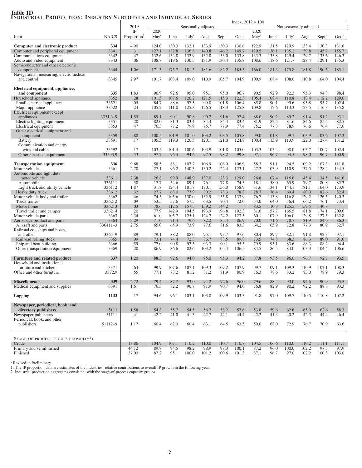## Table 1D<br>Industrial Production: Industry Subtotals and Individual Series

|                                                  |              |                         |                |                   |                   |                     | $Index, 2012 = 100$  |                   |                         |                   |                   |          |                      |                   |  |  |
|--------------------------------------------------|--------------|-------------------------|----------------|-------------------|-------------------|---------------------|----------------------|-------------------|-------------------------|-------------------|-------------------|----------|----------------------|-------------------|--|--|
|                                                  |              | 2019                    |                |                   |                   | Seasonally adjusted |                      |                   | Not seasonally adjusted |                   |                   |          |                      |                   |  |  |
|                                                  |              | IP                      | 2020           |                   |                   |                     |                      |                   | 2020                    |                   |                   |          |                      |                   |  |  |
| Item                                             | <b>NAICS</b> | Proportion <sup>1</sup> | $\text{Mav}^r$ | June <sup>r</sup> | July <sup>r</sup> | Aug. $r$            | $Sept.$ <sup>r</sup> | Oct. <sup>p</sup> | $M$ ay <sup>r</sup>     | June <sup>r</sup> | July <sup>r</sup> | Aug. $r$ | $Sept.$ <sup>r</sup> | Oct. <sup>p</sup> |  |  |
|                                                  |              |                         |                |                   |                   |                     |                      |                   |                         |                   |                   |          |                      |                   |  |  |
| Computer and electronic product                  | 334          | 4.90                    | 124.0          | 130.3             | 132.1             | 133.9               | 130.3                | 130.6             | 122.9                   | 131.5             | 129.9             | 133.4    | 130.3                | 131.6             |  |  |
| Computer and peripheral equipment                | 3341         | .31                     | 127.1          | 132.8             | 136.8             | 140.8               | 146.2                | 149.7             | 129.5                   | 136.1             | 135.2             | 139.8    | 145.7                | 155.7             |  |  |
| Communications equipment                         | 3342         | .47                     | 132.6          | 132.8             | 132.9             | 132.8               | 133.0                | 133.8             | 133.3                   | 133.8             | 129.4             | 129.7    | 133.6                | 146.3             |  |  |
| Audio and video equipment                        | 3343         | .06                     | 108.7          | 119.6             | 130.5             | 131.9               | 130.4                | 135.8             | 108.6                   | 118.6             | 121.7             | 128.4    | 129.1                | 135.3             |  |  |
| Semiconductor and other electronic               |              |                         |                |                   |                   |                     |                      |                   |                         |                   |                   |          |                      |                   |  |  |
| component                                        | 3344         | 1.06                    | 171.3          | 175.7             | 181.3             | 181.6               | 182.2                | 185.5             | 166.0                   | 181.3             | 175.8             | 181.8    | 190.5                | 185.1             |  |  |
| Navigational, measuring, electromedical          |              |                         |                |                   |                   |                     |                      |                   |                         |                   |                   |          |                      |                   |  |  |
| and control                                      | 3345         | 2.97                    | 101.7          | 108.4             | 109.0             | 110.9               | 105.7                | 104.9             | 100.9                   | 108.4             | 108.0             | 110.8    | 104.0                | 104.4             |  |  |
|                                                  |              |                         |                |                   |                   |                     |                      |                   |                         |                   |                   |          |                      |                   |  |  |
| Electrical equipment, appliance,                 |              |                         |                |                   |                   |                     |                      |                   |                         |                   |                   |          |                      |                   |  |  |
| and component                                    | 335          | 1.83                    | 90.9           | 92.6              | 95.0              | 95.1                | 95.0                 | 96.7              | 90.5                    | 92.9              | 92.3              | 95.3     | 94.3                 | 98.4              |  |  |
| Household appliance                              | 3352         | .28                     | 101.5          | 107.6             | 120.2             | 121.5               | 115.3                | 122.3             | 105.4                   | 108.4             | 110.8             | 118.4    | 112.2                | 129.6             |  |  |
| Small electrical appliance                       | 33521        | .05                     | 84.7           | 88.6              | 97.5              | 99.0                | 101.8                | 106.4             | 85.8                    | 90.1              | 99.6              | 95.8     | 93.7                 | 102.4             |  |  |
|                                                  | 33522        | .24                     | 105.2          | 111.8             | 125.3             | 126.5               | 118.3                | 125.8             | 109.8                   | 112.6             | 113.3             | 123.5    | 116.3                | 135.8             |  |  |
| Major appliance                                  |              |                         |                |                   |                   |                     |                      |                   |                         |                   |                   |          |                      |                   |  |  |
| Electrical equipment except                      |              |                         |                |                   |                   |                     |                      |                   |                         |                   |                   |          |                      |                   |  |  |
| appliances                                       | $3351,3-9$   | 1.55                    | 89.1           | 90.1              | 90.8              | 90.7                | 91.6                 | 92.4              | 88.0                    | 90.2              | 89.2              | 91.4     | 91.2                 | 93.1              |  |  |
| Electric lighting equipment                      | 3351         | .20                     | 82.0           | 81.3              | 83.4              | 84.4                | 84.4                 | 83.4              | 81.9                    | 82.5              | 81.6              | 84.6     | 85.5                 | 82.5              |  |  |
| Electrical equipment                             | 3353         | .47                     | 76.3           | 77.2              | 79.9              | 75.7                | 77.9                 | 77.4              | 75.2                    | 77.3              | 78.9              | 76.6     | 76.4                 | 77.6              |  |  |
| Other electrical equipment and                   |              |                         |                |                   |                   |                     |                      |                   |                         |                   |                   |          |                      |                   |  |  |
| component                                        | 3359         | .88                     | 100.5          | 101.9             | 101.0             | 103.2               | 103.5                | 105.8             | 99.0                    | 101.8             | 99.1              | 103.9    | 103.6                | 107.2             |  |  |
| <b>Battery</b>                                   | 33591        | .17                     | 105.5          | 119.3             | 120.5             | 120.1               | 121.0                | 124.8             | 100.4                   | 115.9             | 113.9             | 122.0    | 127.4                | 131.2             |  |  |
| Communication and energy                         |              |                         |                |                   |                   |                     |                      |                   |                         |                   |                   |          |                      |                   |  |  |
| wire and cable                                   | 33592        | .17                     | 103.5          | 101.4             | 100.6             | 103.9               | 101.8                | 105.0             | 103.3                   | 103.4             | 98.0              | 103.7    | 100.7                | 102.4             |  |  |
| Other electrical equipment                       | 33593,9      | .53                     | 97.7           | 96.4              | 94.6              | 97.5                | 98.2                 | 99.8              | 97.1                    | 96.7              | 94.5              | 98.0     | 96.7                 | 100.9             |  |  |
|                                                  |              |                         |                |                   |                   |                     |                      |                   |                         |                   |                   |          |                      |                   |  |  |
| <b>Transportation equipment</b>                  | 336          | 9.68                    | 58.5           | 88.1              | 107.7             | 106.9               | 106.0                | 106.9             | 58.3                    | 91.1              | 94.5              | 109.2    | 107.3                | 111.8             |  |  |
| Motor vehicle                                    | 3361         | 2.70                    | 27.1           | 96.2              | 140.3             | 130.2               | 122.4                | 123.1             | 27.2                    | 103.9             | 110.9             | 137.5    | 128.4                | 134.5             |  |  |
| Automobile and light duty                        |              |                         |                |                   |                   |                     |                      |                   |                         |                   |                   |          |                      |                   |  |  |
| motor vehicle                                    | 33611        | 2.38                    | 26.8           | 99.9              | 148.9             | 137.0               | 128.3                | 129.0             | 26.8                    | 107.4             | 116.6             | 145.4    | 134.5                | 141.6             |  |  |
| Automobile                                       | 336111       | .50                     | 17.7           | 54.6              | 89.1              | 76.1                | 77.8                 | 74.3              | 18.1                    | 58.0              | 65.9              | 79.7     | 80.8                 | 82.3              |  |  |
| Light truck and utility vehicle                  | 336112       | 1.87                    | 31.8           | 124.4             | 181.7             | 170.1               | 156.0                | 158.9             | 31.6                    | 134.1             | 144.1             | 181.1    | 164.0                | 173.9             |  |  |
| Heavy duty truck                                 | 33612        | .32                     | 27.7           | 68.0              | 77.9              | 80.2                | 78.3                 | 78.8              | 28.7                    | 76.4              | 69.4              | 80.0     | 82.6                 | 82.4              |  |  |
| Motor vehicle body and trailer                   | 3362         | .46                     | 74.5           | 105.6             | 130.0             | 132.9               | 135.8                | 133.9             | 76.7                    | 113.8             | 116.8             | 129.2    | 126.5                | 140.3             |  |  |
|                                                  |              |                         |                |                   |                   |                     |                      |                   |                         |                   |                   |          |                      |                   |  |  |
| Truck trailer                                    | 336212       | .09                     | 53.5           | 57.6              | 57.5              | 63.5                | 70.4                 | 72.0              | 54.0                    | 64.0              | 56.4              | 66.2     | 76.1                 | 73.4              |  |  |
| Motor home                                       | 336213       | .03                     | 78.6           | 112.5             | 157.5             | 159.2               | 144.2                |                   | 83.5                    | 110.3             | 125.5             | 159.5    | 140.8                |                   |  |  |
| Travel trailer and camper                        | 336214       | .20                     | 77.9           | 142.9             | 194.5             | 193.9               | 196.8                | 192.3             | 81.6                    | 157.7             | 165.5             | 181.8    | 174.1                | 209.6             |  |  |
| Motor vehicle parts                              | 3363         | 2.34                    | 61.0           | 105.7             | 125.1             | 124.7               | 124.2                | 123.5             | 60.1                    | 107.9             | 106.0             | 129.8    | 127.5                | 132.8             |  |  |
| Aerospace product and parts                      | 3364         | 3.29                    | 71.0           | 71.4              | 79.6              | 82.2                | 85.4                 | 86.9              | 70.0                    | 71.6              | 78.7              | 81.9     | 84.6                 | 86.3              |  |  |
| Aircraft and parts                               | 336411-3     | 2.75                    | 65.0           | 65.9              | 73.9              | 77.6                | 81.6                 | 83.3              | 64.2                    | 65.9              | 72.8              | 77.3     | 80.9                 | 82.7              |  |  |
| Railroad eq., ships and boats,                   |              |                         |                |                   |                   |                     |                      |                   |                         |                   |                   |          |                      |                   |  |  |
| and other                                        | 3365-9       | .89                     | 79.1           | 88.2              | 88.0              | 95.1                | 93.7                 | 97.6              | 80.4                    | 89.7              | 82.1              | 91.8     | 92.3                 | 97.1              |  |  |
| Railroad rolling stock                           | 3365         | .09                     | 73.1           | 74.4              | 72.3              | 86.7                | 88.5                 | 89.8              | 73.5                    | 74.8              | 68.3              | 86.3     | 89.0                 | 91.6              |  |  |
| Ship and boat building                           | 3366         | .59                     | 77.0           | 90.8              | 92.3              | 93.3                | 90.1                 | 95.3              | 79.9                    | 93.1              | 83.6              | 88.3     | 88.2                 | 94.4              |  |  |
| Other transportation equipment                   | 3369         | .20                     | 86.9           | 86.6              | 82.6              | 103.2               | 105.4                | 106.5             | 84.5                    | 86.5              | 84.0              | 103.3    | 104.4                | 106.6             |  |  |
|                                                  |              |                         |                |                   |                   |                     |                      |                   |                         |                   |                   |          |                      |                   |  |  |
| <b>Furniture and related product</b>             | 337          | 1.20                    | 88.3           | 92.6              | 94.0              | 95.0                | 95.3                 | 94.2              | 87.8                    | 93.5              | 96.0              | 96.7     | 92.7                 | 93.5              |  |  |
| Household and institutional                      |              |                         |                |                   |                   |                     |                      |                   |                         |                   |                   |          |                      |                   |  |  |
| furniture and kitchen                            | 3371         | .64                     | 99.9           | 107.6             | 107.1             | 109.3               | 109.2                | 107.9             | 99.7                    | 109.1             | 109.3             | 110.9    | 107.1                | 108.3             |  |  |
| Office and other furniture                       | 3372,9       | .55                     | 77.1           | 78.2              | 81.2              | 81.2                | 81.9                 | 80.9              | 76.3                    | 78.6              | 83.2              | 83.0     | 78.9                 | 79.3              |  |  |
|                                                  |              |                         |                |                   |                   |                     |                      |                   |                         |                   |                   |          |                      |                   |  |  |
| <b>Miscellaneous</b>                             | 339          | 2.72                    | 79.4           | 87.7              | 93.0              | 94.2                | 92.6                 | 96.0              | 79.6                    | 88.4              | 93.0              | 94.6     | 90.9                 | 95.5              |  |  |
| Medical equipment and supplies                   |              | 1.61                    |                |                   | 90.7              | 91.9                | 90.7                 | 94.0              |                         | 82.9              |                   |          | 88.8                 | 93.3              |  |  |
|                                                  | 3391         |                         | 10.3           | 82.2              |                   |                     |                      |                   | 76.8                    |                   | 90.2              | 92.2     |                      |                   |  |  |
|                                                  | 1133         |                         | 94.6           | 96.1              | 103.1             | 103.8               | 109.9                | 103.3             | 91.8                    | 97.0              | 109.7             | 110.5    | 110.8                | 107.2             |  |  |
| Logging                                          |              | .17                     |                |                   |                   |                     |                      |                   |                         |                   |                   |          |                      |                   |  |  |
|                                                  |              |                         |                |                   |                   |                     |                      |                   |                         |                   |                   |          |                      |                   |  |  |
| Newspaper, periodical, book, and                 |              |                         |                |                   |                   |                     |                      |                   |                         |                   |                   |          |                      |                   |  |  |
| directory publishers                             | 5111         | 1.58                    | 54.8           | 55.7              | 54.5              | 56.7                | 58.2                 | 57.6              | 53.8                    | 59.6              | 62.6              | 65.9     | 62.6                 | 58.3              |  |  |
| Newspaper publishers                             | 51111        | .41                     | 42.2           | 41.0              | 41.3              | 42.7                | 44.1                 | 44.4              | 42.2                    | 41.3              | 40.2              | 42.3     | 44.4                 | 46.4              |  |  |
| Periodical, book, and other                      |              |                         |                |                   |                   |                     |                      |                   |                         |                   |                   |          |                      |                   |  |  |
| publishers                                       | 51112-9      | 1.17                    | 60.4           | 62.3              | 60.4              | 63.1                | 64.5                 | 63.5              | 59.0                    | 68.0              | 72.9              | 76.7     | 70.9                 | 63.6              |  |  |
|                                                  |              |                         |                |                   |                   |                     |                      |                   |                         |                   |                   |          |                      |                   |  |  |
|                                                  |              |                         |                |                   |                   |                     |                      |                   |                         |                   |                   |          |                      |                   |  |  |
| STAGE-OF-PROCESS GROUPS (CAPACITY <sup>2</sup> ) |              |                         |                |                   |                   |                     |                      |                   |                         |                   |                   |          |                      |                   |  |  |
| Crude                                            |              | 18.86                   | 104.9          | 107.1             | 110.2             | 110.0               | 110.7                | 110.7             | 104.5                   | 106.6             | 110.0             | 110.2    | 111.1                | 111.1             |  |  |
| Primary and semifinished                         |              | 44.12                   | 89.8           | 94.5              | 98.2              | 98.9                | 98.3                 | 100.1             | 87.2                    | 96.0              | 100.0             | 102.2    | 97.5                 | 97.9              |  |  |
| Finished                                         |              | 37.03                   | 87.2           | 95.1              | 100.0             | 101.2               | 100.6                | 101.3             | 87.1                    | 96.7              | 97.0              | 102.2    | 100.8                | 103.0             |  |  |
|                                                  |              |                         |                |                   |                   |                     |                      |                   |                         |                   |                   |          |                      |                   |  |  |

r Revised. p Preliminary.<br>1. The IP proportion data are estimates of the industries' relative contributions to overall IP growth in the following year.<br>2. Industrial production aggregates consistent with the stage-of-proce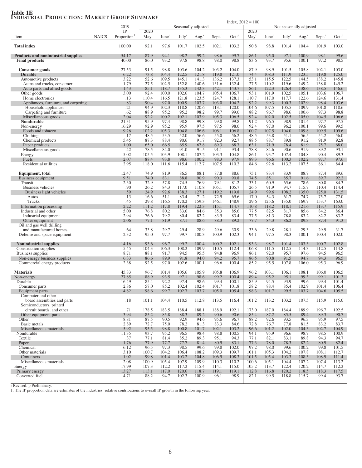## Table 1E<br>Industrial Production: Market Group Summary

| $\ldots$<br>RODOOIIOI, REHRIMA                                      |              |                         | $Index, 2012 = 100$ |                   |                   |                     |                |                   |                  |                                 |                |                   |                    |                   |  |  |  |
|---------------------------------------------------------------------|--------------|-------------------------|---------------------|-------------------|-------------------|---------------------|----------------|-------------------|------------------|---------------------------------|----------------|-------------------|--------------------|-------------------|--|--|--|
|                                                                     |              | 2019<br>IP              | 2020                |                   |                   | Seasonally adjusted |                |                   |                  | Not seasonally adjusted<br>2020 |                |                   |                    |                   |  |  |  |
| Item                                                                | <b>NAICS</b> | Proportion <sup>1</sup> | May <sup>r</sup>    | June <sup>r</sup> | July <sup>r</sup> | Aug <sup>r</sup>    | Sept.          | Oct. <sup>p</sup> | May <sup>r</sup> | June <sup>r</sup>               | July           | Aug. <sup>1</sup> | Sept. <sup>r</sup> | Oct. <sup>p</sup> |  |  |  |
| <b>Total index</b>                                                  |              | 100.00                  | 92.1                | 97.6              | 101.7             | 102.5               | 102.1          | 103.2             | 90.8             | 98.8                            | 101.4          | 104.4             | 101.9              | 103.0             |  |  |  |
| <b>Products and nonindustrial supplies</b><br><b>Final products</b> |              | 54.17<br>40.00          | 87.9<br>86.0        | 94.1<br>93.2      | 98.2<br>97.8      | 99.2<br>98.8        | 98.6<br>98.0   | 99.7<br>98.8      | 86.1<br>83.6     | 95.0<br>93.7                    | 97.1<br>95.6   | 100.9<br>100.1    | 98.1<br>97.2       | 99.6<br>98.5      |  |  |  |
| Consumer goods                                                      |              | 27.53                   | 91.5                | 98.8              | 103.6             | 104.2               | 103.2          | 104.0             | 87.9             | 98.9                            | 101.5          | 105.8             | 102.1              | 103.0             |  |  |  |
| <b>Durable</b>                                                      |              | 6.22                    | 73.8                | 104.4             | 122.5             | 121.8               | 119.8          | 121.0             | 74.4             | 108.3                           | 111.9          | 123.5             | 119.8              | 125.0             |  |  |  |
| Automotive products                                                 |              | 3.22                    | 52.6                | 109.5             | 145.1             | 141.3               | 136.2          | 137.3             | 53.1             | 115.5                           | 122.5          | 144.5             | 138.2              | 145.8             |  |  |  |
| Autos and trucks, consumer                                          |              | 1.79                    | 27.5                | 102.5             | 152.8             | 140.6               | 131.6          | 132.4             | 27.5             | 110.2                           | 119.6          | 149.2             | 138.0              | 145.2             |  |  |  |
| Auto parts and allied goods<br>Other goods                          |              | 1.43<br>3.00            | 85.1<br>92.4        | 118.7<br>100.0    | 135.3<br>102.6    | 142.3<br>104.7      | 142.1<br>105.4 | 143.7<br>106.7    | 86.1<br>93.1     | 122.3<br>101.9                  | 126.4<br>102.5 | 138.6<br>105.1    | 138.5<br>103.6     | 146.6<br>106.7    |  |  |  |
| Home electronics                                                    |              | .13                     | 110.4               | 116.5             | 121.8             | 123.5               | 124.7          | 128.1             | 110.7            | 117.0                           | 117.7          | 122.6             | 124.6              | 131.4             |  |  |  |
| Appliances, furniture, and carpeting                                |              | .83                     | 90.4                | 97.0              | 100.9             | 103.7               | 103.0          | 104.2             | 92.2             | 99.3                            | 100.3          | 102.9             | 98.4               | 103.6             |  |  |  |
| Household appliances                                                |              | .21                     | 94.9                | 102.3             | 118.8             | 120.6               | 113.1          | 120.0             | 104.6            | 107.5                           | 105.5          | 109.9             | 101.8              | 118.6             |  |  |  |
| Carpeting and furniture<br>Miscellaneous goods                      |              | .62<br>2.04             | 88.9<br>92.2        | 95.2<br>100.2     | 95.2<br>102.1     | 98.2<br>103.9       | 99.7<br>105.3  | 99.0<br>106.5     | 88.2<br>92.4     | 96.7<br>102.0                   | 98.6<br>102.5  | 100.6<br>105.0    | 97.3<br>104.5      | 98.8<br>106.6     |  |  |  |
| Nondurable                                                          |              | 21.31                   | 95.9                | 97.4              | 98.8              | 99.8                | 99.0           | 99.8              | 91.2             | 96.5                            | 98.9           | 101.4             | 97.7               | 97.5              |  |  |  |
| Non-energy                                                          |              | 16.29                   | 92.9                | 95.2              | 95.9              | 97.5                | 97.5           | 98.0              | 92.4             | 97.0                            | 96.2           | 100.1             | 99.6               | 99.5              |  |  |  |
| Foods and tobacco                                                   |              | 9.26                    | 102.2               | 105.3             | 104.8             | 106.6               | 106.1          | 106.8             | 100.7            | 107.5                           | 104.0          | 109.8             | 109.5              | 109.6             |  |  |  |
| Clothing<br>Chemical products                                       |              | .17<br>5.45             | 48.5<br>87.3        | 53.5<br>88.4      | 52.0<br>90.6      | 56.6<br>91.7        | 55.0<br>92.3   | 56.2<br>92.7      | 48.5<br>88.5     | 53.8<br>88.7                    | 51.1<br>89.8   | 56.5<br>91.2      | 54.2<br>91.9       | 56.0<br>92.8      |  |  |  |
| Paper products                                                      |              | 1.00                    | 65.0                | 66.5              | 65.9              | 67.8                | 69.3           | 68.7              | 63.1             | 71.9                            | 78.4           | 81.9              | 75.7               | 68.0              |  |  |  |
| Miscellaneous goods                                                 |              | .42                     | 78.5                | 84.0              | 91.0              | 91.5                | 91.1           | 93.4              | 78.8             | 84.6                            | 90.6           | 91.9              | 89.2               | 93.1              |  |  |  |
| Energy                                                              |              | 5.02                    | 105.5               | 103.9             | 108.1             | 107.2               | 103.3          | 104.8             | 86.1             | 93.7                            | 107.4          | 104.8             | 90.4               | 89.3              |  |  |  |
| Fuels<br>Residential utilities                                      |              | 2.07<br>2.95            | 88.4<br>118.0       | 93.8<br>111.6     | 98.6<br>115.4     | 100.2<br>112.7      | 98.3<br>107.5  | 97.9<br>110.2     | 89.3<br>84.6     | 96.6<br>92.6                    | 100.3<br>113.2 | 102.2<br>107.5    | 97.7<br>86.1       | 97.6<br>84.4      |  |  |  |
| Equipment, total                                                    |              | 12.47                   | 74.9                | 81.9              | 86.5              | 88.1                | 87.8           | 88.6              | 75.1             | 83.4                            | 83.9           | 88.7              | 87.4               | 89.6              |  |  |  |
| Business equipment                                                  |              | 9.51                    | 74.0                | 83.1              | 88.8              | 90.9                | 90.3           | 90.8              | 74.5             | 85.1                            | 85.7           | 91.6              | 89.7               | 92.2              |  |  |  |
| Transit                                                             |              | 2.30                    | 32.9                | 57.8              | 74.5              | 76.9                | 79.1           | 81.2              | 33.1             | 60.9                            | 65.6           | 78.6              | 80.8               | 84.3              |  |  |  |
| Business vehicles<br>Business light vehicles                        |              | .90<br>.59              | 26.2<br>24.9        | 84.3<br>92.6      | 117.0<br>138.3    | 110.8<br>127.1      | 105.1<br>119.2 | 105.7<br>119.8    | 26.5<br>24.9     | 91.9<br>99.6                    | 94.7<br>108.2  | 115.7<br>135.0    | 110.4<br>125.0     | 114.4<br>131.5    |  |  |  |
| Autos                                                               |              | .13                     | 16.6                | 51.1              | 83.4              | 71.2                | 72.9           | 69.6              | 17.0             | 54.3                            | 61.7           | 74.7              | 75.7               | 77.0              |  |  |  |
| Trucks                                                              |              | .45                     | 29.8                | 116.5             | 170.2             | 159.3               | 146.1          | 148.9             | 29.6             | 125.6                           | 135.0          | 169.7             | 153.7              | 163.0             |  |  |  |
| Information processing                                              |              | 2.22                    | 111.2               | 117.8             | 119.4             | 122.3               | 115.1          | 114.7             | 110.8            | 118.2                           | 118.1          | 121.6             | 113.7              | 115.9             |  |  |  |
| Industrial and other<br>Industrial equipment                        |              | 5.00<br>2.94            | 76.8<br>76.6        | 80.2<br>79.2      | 83.0<br>80.4      | 84.6<br>82.2        | 85.3<br>83.5   | 85.6<br>83.4      | 77.5<br>77.5     | 82.5<br>81.3                    | 81.7<br>78.8   | 85.6<br>83.2      | 84.2<br>82.2       | 86.4<br>83.2      |  |  |  |
| Other equipment                                                     |              | 2.06                    | 77.1                | 81.9              | 87.1              | 88.6                | 88.3           | 89.2              | 77.7             | 84.3                            | 86.2           | 89.3              | 87.4               | 91.3              |  |  |  |
| Oil and gas well drilling                                           |              |                         |                     |                   |                   |                     |                |                   |                  |                                 |                |                   |                    |                   |  |  |  |
| and manufactured homes                                              |              | .64                     | 33.8<br>95.0        | 29.7<br>97.7      | 29.4              | 28.9<br>100.3       | 29.6           | 30.9              | 33.6             | 29.8<br>97.5                    | 28.1<br>98.3   | 29.3<br>100.1     | 29.9               | 31.7<br>102.0     |  |  |  |
| Defense and space equipment                                         |              | 2.32                    |                     |                   | 99.7              |                     | 100.9          | 102.3             | 94.1             |                                 |                |                   | 100.4              |                   |  |  |  |
| <b>Nonindustrial supplies</b>                                       |              | 14.16                   | 93.6                | 96.7              | 99.2              | 100.4               | 100.2          | 102.1             | 93.3             | 98.7                            | 101.4          | 103.3             | 100.7              | 102.8             |  |  |  |
| Construction supplies<br>Business supplies                          |              | 5.45<br>8.71            | 104.3<br>88.1       | 106.3<br>91.7     | 108.2<br>94.5     | 109.9<br>95.5       | 110.5<br>94.8  | 112.4<br>96.9     | 106.8<br>86.1    | 111.5<br>92.0                   | 112.5<br>95.7  | 114.3<br>97.6     | 112.5<br>94.5      | 114.8<br>96.5     |  |  |  |
| Non-energy business supplies                                        |              | 6.33                    | 86.6                | 89.9              | 91.8              | 94.0                | 94.2           | 95.7              | 86.5             | 90.8                            | 91.5           | 94.7              | 94.3               | 96.5              |  |  |  |
| Commercial energy products                                          |              | 2.38                    | 92.5                | 97.0              | 102.6             | 100.1               | 96.6           | 100.4             | 85.2             | 95.5                            | 107.8          | 106.0             | 95.3               | 96.9              |  |  |  |
| <b>Materials</b>                                                    |              | 45.83                   | 96.7                | 101.4             | 105.6             | 105.9               | 105.8          | 106.9             | 96.2             | 103.1                           | 106.1          | 108.1             | 106.0              | 106.5             |  |  |  |
| Non-energy                                                          |              | 27.85                   | 88.9                | 93.5              | 97.1              | 98.6                | 99.2           | 100.4             | 89.4             | 95.2                            | 95.1           | 99.3              | 99.1               | 101.3             |  |  |  |
| Durable                                                             |              | 16.49                   | 85.4                | 92.2              | 97.4              | 98.6                | 99.4           | 100.1             | 85.9             | 94.5                            | 93.9           | 99.6              | 99.4               | 101.4             |  |  |  |
| Consumer parts                                                      |              | 2.86                    | 57.0                | 85.2              | 102.4             | 102.4               | 101.7          | 101.8             | 58.2             | 88.4                            | 85.4           | 102.9             | 101.4              | 106.4             |  |  |  |
| Equipment parts<br>Computer and other                               |              | 4.82                    | 98.6                | 99.7              | 102.7             | 103.7               | 105.0          | 105.4             | 98.3             | 101.7                           | 99.5           | 103.7             | 104.6              | 105.5             |  |  |  |
| board assemblies and parts                                          |              | .18                     | 101.1               | 104.4             | 110.5             | 112.8               | 113.5          | 116.4             | 101.2            | 113.2                           | 103.2          | 107.5             | 115.9              | 115.0             |  |  |  |
| Semiconductors, printed<br>circuit boards, and other                |              | .71                     | 178.5               | 183.5             | 188.4             | 188.1               | 188.9          | 192.1             | 173.0            | 187.0                           | 184.4          | 189.9             | 196.7              | 192.5             |  |  |  |
| Other equipment parts                                               |              | 3.94                    | 85.2                | 85.8              | 88.3              | 89.2                | 90.6           | 90.6              | 85.4             | 87.2                            | 85.5           | 89.4              | 89.3               | 90.7              |  |  |  |
| Other                                                               |              | 8.81                    | 87.5                | 90.5              | 92.9              | 94.6                | 95.6           | 96.7              | 88.2             | 92.6                            | 93.5           | 96.3              | 95.9               | 97.5              |  |  |  |
| Basic metals                                                        |              | 2.89                    | 72.7                | 75.0              | 78.2              | 81.3                | 83.3           | 84.6              | 72.8             | 76.7                            | 77.8           | 81.5              | 83.2               | 83.7              |  |  |  |
| Miscellaneous materials<br>Nondurable                               |              | 5.92<br>11.35           | 95.5<br>93.7        | 98.8<br>95.2      | 100.8<br>96.5     | 101.7<br>98.4       | 102.1<br>98.8  | 103.2<br>100.5    | 96.6<br>94.1     | 101.2<br>95.9                   | 102.0<br>96.6  | 104.3<br>98.7     | 102.7<br>98.5      | 104.9<br>100.9    |  |  |  |
| Textile                                                             |              | .37                     | 77.1                | 81.4              | 85.2              | 89.3                | 95.1           | 94.3              | 77.1             | 82.1                            | 83.1           | 89.8              | 94.3               | 94.7              |  |  |  |
| Paper                                                               |              | 1.76                    | 77.9                | 77.7              | 77.7              | 81.4                | 80.9           | 83.1              | 77.3             | 78.0                            | 78.3           | 82.2              | 80.9               | 82.4              |  |  |  |
| Chemical<br>Other materials                                         |              | 6.12                    | 96.5                | 97.3              | 98.5              | 99.6                | 99.8           | 102.0             | 97.2             | 98.0                            | 99.6           | 100.2             | 99.8               | 101.5             |  |  |  |
| Containers                                                          |              | 3.10<br>1.02            | 100.7<br>99.8       | 104.2<br>101.4    | 106.4<br>103.2    | 108.2<br>104.8      | 109.3<br>106.9 | 109.7<br>108.3    | 101.1<br>101.5   | 105.3<br>105.4                  | 104.2<br>103.3 | 107.8<br>108.3    | 108.1<br>108.9     | 112.7<br>111.4    |  |  |  |
| Miscellaneous materials                                             |              | 2.08                    | 100.9               | 105.4             | 107.9             | 109.9               | 110.3          | 110.2             | 100.6            | 105.1                           | 104.4          | 107.2             | 107.4              | 113.2             |  |  |  |
| Energy                                                              |              | 17.99                   | 107.3               | 112.2             | 117.2             | 115.4               | 114.1          | 115.0             | 105.2            | 113.7                           | 122.4          | 120.2             | 114.7              | 112.2             |  |  |  |
| Primary energy                                                      |              | 13.27                   | 113.1               | 117.0             | 120.6             | 118.7               | 119.1          | 119.1             | 112.8            | 116.8                           | 120.2          | 118.5             | 118.3              | 117.5             |  |  |  |
| Converted fuel                                                      |              | 4.71                    | 88.2                | 94.7              | 102.3             | 100.9               | 96.1           | 98.9              | 82.1             | 99.5                            | 118.8          | 115.7             | 99.4               | 93.7              |  |  |  |

r Revised. p Preliminary. 1. The IP proportion data are estimates of the industries' relative contributions to overall IP growth in the following year.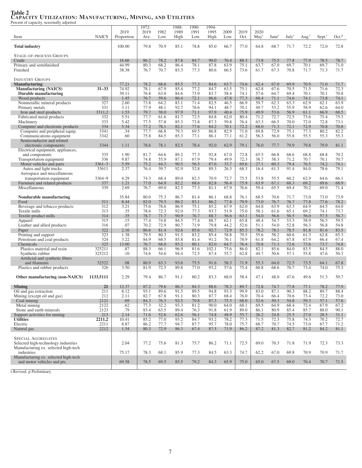|                                                                             |               |                | 1972-        |              | 1988-        | 1990-        | 1994-         |              |              |                  |                   |                   |                   |                    |                   |
|-----------------------------------------------------------------------------|---------------|----------------|--------------|--------------|--------------|--------------|---------------|--------------|--------------|------------------|-------------------|-------------------|-------------------|--------------------|-------------------|
|                                                                             |               | 2019           | 2019         | 1982         | 1989         | 1991         | 1995          | 2009         | 2019         | 2020             |                   |                   |                   |                    |                   |
| Item                                                                        | <b>NAICS</b>  | Proportion     | Ave.         | Low          | High         | Low          | High          | Low          | Oct.         | May <sup>r</sup> | June <sup>r</sup> | July <sup>r</sup> | Aug. <sup>r</sup> | Sept. <sup>r</sup> | Oct. <sup>p</sup> |
| <b>Total industry</b>                                                       |               | 100.00         | 79.8         | 70.9         | 85.1         | 78.8         | 85.0          | 66.7         | 77.0         | 64.8             | 68.7              | 71.7              | 72.2              | 72.0               | 72.8              |
|                                                                             |               |                |              |              |              |              |               |              |              |                  |                   |                   |                   |                    |                   |
| STAGE-OF-PROCESS GROUPS                                                     |               |                |              |              |              |              |               |              |              |                  |                   |                   |                   |                    |                   |
| Crude                                                                       |               | 16.66          | 86.2         | 78.2         | 87.8         | 84.7         | 90.0          | 76.4         | 88.3         | 73.8             | 75.5              | 77.8              | 77.9              | 78.5               | 78.7              |
| Primary and semifinished                                                    |               | 44.99          | 80.3         | 68.2         | 86.4         | 78.1         | 87.8          | 63.9         | 75.1         | 63.7             | 67.0              | 69.7              | 70.1              | 69.7               | 71.0              |
| Finished                                                                    |               | 38.38          | 76.7         | 70.7         | 83.3         | 77.3         | 80.6          | 66.5         | 73.6         | 61.7             | 67.3              | 70.8              | 71.7              | 71.3               | 71.7              |
|                                                                             |               |                |              |              |              |              |               |              |              |                  |                   |                   |                   |                    |                   |
| <b>INDUSTRY GROUPS</b>                                                      |               |                |              |              |              |              |               |              |              |                  |                   |                   |                   |                    |                   |
| <b>Manufacturing</b>                                                        | $31 - 33$     | 77.21<br>74.92 | 78.2<br>78.1 | 68.6<br>67.9 | 85.5<br>85.4 | 77.3<br>77.2 | 84.6<br>84.7  | 63.7<br>63.5 | 74.6<br>75.1 | 62.4<br>62.8     | 67.0<br>67.6      | 69.9<br>70.5      | 70.9<br>71.5      | 71.0<br>71.6       | 71.7<br>72.3      |
| <b>Manufacturing (NAICS)</b><br>Durable manufacturing                       |               | 39.11          | 76.8         | 63.0         | 84.6         | 73.9         | 83.7          | 58.4         | 74.1         | 57.6             | 64.7              | 69.4              | 70.1              | 70.1               | 70.8              |
| Wood products                                                               | 321           | 1.45           | 76.7         | 59.6         | 86.4         | 72.1         | 86.6          | 47.8         | 77.3         | 68.4             | 71.1              | 74.6              | 74.1              | 73.8               | 74.1              |
| Nonmetallic mineral products                                                | 327           | 2.60           | 73.8         | 64.2         | 83.1         | 71.4         | 82.5          | 46.5         | 66.9         | 59.7             | 62.3              | 63.3              | 62.9              | 62.1               | 63.9              |
| Primary metals                                                              | 331           | 3.11           | 77.9         | 48.1         | 92.7         | 76.6         | 94.1          | 48.7         | 70.1         | 49.7             | 53.2              | 55.9              | 58.9              | 62.6               | 64.0              |
| Iron and steel products                                                     | 3311,2        | 1.53           | 79.7         | 38.0         | 97.9         | 71.1         | 97.9          | 40.4         | 75.9         | 49.9             | 53.6              | 56.9              | 61.1              | 66.9               | 68.5              |
| Fabricated metal products                                                   | 332           | 5.51           | 77.7         | 61.6         | 81.7         | 72.5         | 84.8          | 62.0         | 80.4         | 71.2             | 72.7              | 72.5              | 73.6              | 75.4               | 75.3              |
| Machinery                                                                   | 333           | 5.42           | 77.5         | 57.8         | 85.3         | 73.8         | 87.3          | 59.8         | 76.4         | 63.3             | 66.5              | 70.0              | 72.0              | 72.8               | 73.1              |
| Computer and electronic products                                            | 334           | 5.34           | 77.2         | 78.1         | 82.1         | 77.6         | 84.2          | 70.1         | 72.2         | 68.0             | 71.3              | 72.1              | 72.9              | 70.8               | 70.8              |
| Computer and peripheral equip.                                              | 3341          | .34            | 77.7         | 66.8         | 79.3         | 69.5         | 86.8          | 82.9         | 71.0         | 69.8             | 72.9              | 75.1              | 77.3              | 80.2               | 82.2              |
| Communications equipment                                                    | 3342          | .60            | 75.8         | 84.5         | 85.3         | 77.1         | 86.1          | 77.1         | 61.2         | 56.3             | 56.0              | 55.8              | 55.5              | 55.3               | 55.3              |
| Semiconductor and related<br>electronic components                          | 3344          | 1.11           | 78.6         | 78.1         | 82.5         | 78.4         | 92.0          | 62.9         | 79.1         | 76.0             | 77.7              | 79.9              | 79.8              | 79.9               | 81.1              |
| Electrical equipment, appliances,                                           |               |                |              |              |              |              |               |              |              |                  |                   |                   |                   |                    |                   |
| and components                                                              | 335           | 1.90           | 81.7         | 64.6         | 89.2         | 77.3         | 92.8          | 67.0         | 72.8         | 65.5             | 66.8              | 68.6              | 68.8              | 68.8               | 70.2              |
| Transportation equipment                                                    | 336           | 9.87           | 74.8         | 55.9         | 87.1         | 67.9         | 79.4          | 49.9         | 72.3         | 38.7             | 58.3              | 71.2              | 70.7              | 70.1               | 70.7              |
| Motor vehicles and parts                                                    | $3361 - 3$    | 5.59           | 75.2         | 44.3         | 90.5         | 56.5         | 87.6          | 33.7         | 69.6         | 27.1             | 60.3              | 79.4              | 76.5              | 74.2               | 74.1              |
| Autos and light trucks                                                      | 33611         | 2.37           | 76.4         | 39.7         | 92.9         | 52.8         | 89.3          | 26.5         | 68.3         | 16.4             | 61.3              | 91.4              | 84.0              | 78.6               | 79.1              |
| Aerospace and miscellaneous                                                 |               |                |              |              |              |              |               |              |              |                  |                   |                   |                   |                    |                   |
| transportation equipment                                                    | 3364-9        | 4.29           | 74.3         | 68.4         | 89.0         | 82.3         | 70.9          | 72.7         | 75.5         | 53.8             | 55.5              | 60.2              | 62.9              | 64.6               | 66.1              |
| Furniture and related products                                              | 337           | 1.21           | 77.0         | 64.9         | 82.2         | 68.6         | 82.8          | 56.4         | 75.9         | 63.9             | 67.1              | 68.3              | 69.2              | 69.6               | 68.9              |
| Miscellaneous                                                               | 339           | 2.69           | 76.7         | 69.0         | 82.5         | 77.3         | 81.1          | 67.9         | 76.6         | 59.4             | 65.5              | 69.4              | 70.2              | 69.0               | 71.4              |
| Nondurable manufacturing                                                    |               | 35.84          | 80.0         | 75.3         | 86.7         | 81.4         | 86.1          | 68.8         | 76.1         | 68.5             | 70.6              | 71.7              | 73.0              | 73.0               | 73.9              |
| Food                                                                        | 311           | 8.44           | 82.0         | 79.5         | 86.2         | 83.1         | 86.2          | 77.8         | 79.9         | 73.0             | 76.7              | 76.7              | 77.8              | 77.6               | 78.2              |
| Beverage and tobacco products                                               | 312           | 3.21           | 75.6         | 78.6         | 86.9         | 75.1         | 85.2          | 67.9         | 62.0         | 64.8             | 63.9              | 63.3              | 64.9              | 64.5               | 64.0              |
| Textile mills                                                               | 313           | .35            | 78.6         | 72.3         | 92.0         | 77.3         | 93.7          | 51.9         | 75.0         | 58.1             | 61.6              | 65.1              | 69.2              | 74.1               | 73.7              |
| Textile product mills                                                       | 314           | .35            | 78.7         | 71.7         | 90.9         | 76.7         | 88.7          | 56.6         | 63.1         | 54.0             | 56.6              | 56.5              | 56.0              | 57.5               | 56.7              |
| Apparel                                                                     | 315           | .15            | 77.4         | 74.8         | 84.5         | 77.4         | 88.7          | 62.1         | 65.8         | 48.4             | 54.7              | 53.3              | 58.9              | 56.5               | 59.5              |
| Leather and allied products                                                 | 316           | .07            | 70.2         | 72.9         | 80.7         | 71.9         | 79.8          | 44.2         | 52.6         | 51.1             | 54.0              | 52.8              | 56.3              | 56.8               | 54.8              |
| Paper                                                                       | 322           | 2.16           | 86.6         | 81.4         | 92.6         | 85.6         | 92.7          | 72.9         | 85.3         | 78.2             | 78.1              | 78.5              | 81.8              | 81.6               | 83.5              |
| Printing and support                                                        | 323           | 1.38           | 79.5         | 80.3         | 91.5         | 83.2         | 85.4          | 58.8         | 70.5         | 55.6             | 58.2              | 60.6              | 61.3              | 62.8               | 65.3              |
| Petroleum and coal products                                                 | 324           | 3.22           | 84.9         | 68.5         | 85.8         | 81.4         | 91.2          | 76.1         | 78.9         | 61.8             | 64.2              | 67.8              | 67.9              | 66.4               | 67.4              |
| Chemicals<br>Plastics material and resin                                    | 325<br>325211 | 13.00<br>.87   | 76.7<br>88.3 | 68.0<br>66.1 | 85.2<br>96.9 | 80.1<br>81.6 | 82.0<br>102.1 | 64.7<br>75.6 | 76.4<br>86.0 | 70.8<br>82.1     | 71.3<br>85.6      | 72.6<br>84.0      | 73.6<br>83.5      | 73.7<br>84.5       | 74.8<br>88.0      |
| Synthetic rubber                                                            | 325212        | .10            | 74.6         | 54.6         | 94.4         | 72.5         | 87.4          | 55.7         | 62.8         | 44.7             | 50.6              | 57.1              | 55.8              | 47.6               | 50.3              |
| Artificial and synthetic fibers                                             |               |                |              |              |              |              |               |              |              |                  |                   |                   |                   |                    |                   |
| and filaments                                                               | 32522         | .08            | 80.9         | 63.3         | 93.6         | 75.5         | 91.6          | 58.3         | 71.9         | 55.3             | 64.0              | 72.5              | 73.5              | 64.1               | 67.8              |
| Plastics and rubber products                                                | 326           | 3.50           | 81.9         | 72.5         | 89.8         | 77.0         | 93.2          | 57.6         | 75.4         | 60.8             | 68.6              | 70.7              | 73.4              | 74.0               | 75.3              |
|                                                                             |               |                |              |              |              |              |               |              |              |                  |                   |                   |                   |                    |                   |
| Other manufacturing (non-NAICS)                                             | 1133,5111     | 2.29           | 79.4         | 86.7         | 91.1         | 80.2         | 83.3          | 68.0         | 58.4         | 47.1             | 48.0              | 47.6              | 49.6              | 51.3               | 50.7              |
|                                                                             |               |                |              |              |              |              |               |              |              |                  |                   |                   |                   |                    |                   |
| <b>Mining</b>                                                               | 21            | 12.37          | 87.2         | 79.6         | 86.3         | 84.3         | 88.6          | 78.3         | 89.7         | 72.8             | 74.7              | 77.8              | 77.1              | 78.2               | 77.9              |
| Oil and gas extraction<br>Mining (except oil and gas)                       | 211<br>212    | 8.12<br>2.11   | 93.1<br>82.7 | 89.0<br>67.8 | 91.5<br>91.1 | 89.G<br>80.3 | 94.8<br>87.7  | 93.3<br>68.4 | 99.9<br>76.0 | 83.0<br>70.4     | 87.1<br>66.4      | 90.3<br>70.6      | 88.2<br>73.4      | 89.7<br>72.2       | 88.4<br>73.0      |
| Coal mining                                                                 | 2121          | .69            | 84.3         | 76.3         | 92.5         | 79.8         | 87.3          | 75.3         | 68.0         | 52.6             | 50.3              | 54.8              | 59.3              | 57.1               | 57.6              |
| Metal mining                                                                | 2122          | .62            | 77.3         | 32.2         | 93.3         | 81.2         | 90.0          | 64.0         | 68.1         | 69.5             | 64.9              | 68.4              | 72.4              | 67.9               | 67.2              |
| Stone and earth minerals                                                    | 2123          | .79            | 83.4         | 63.5         | 89.4         | 76.3         | 91.8          | 61.9         | 89.0         | 86.1             | 80.9              | 85.4              | 85.7              | 88.0               | 90.1              |
| Support activities for mining                                               | 213           | 2.14           | 71.6         | 52.6         | 62.6         | 56.1         | 74.8          | 48.9         | 55.7         | 26.2             | 24.8              | 25.5              | 27.0              | 28.5               | 31.1              |
| <b>Utilities</b>                                                            | 2211,2        | 10.41          | 85.2         | 77.0         | 93.2         | 84.7         | 93.2          | 78.2         | 77.3         | 71.5             | 72.3              | 75.8              | 74.3              | 70.2               | 72.7              |
| Electric                                                                    | 2211          | 8.87           | 86.2         | 77.7         | 94.7         | 87.7         | 95.7          | 78.0         | 75.7         | 68.7             | 70.7              | 74.5              | 73.0              | 67.7               | 71.2              |
| Natural gas                                                                 | 2212          | 1.54           | 80.3         | 72.9         | 86.3         | 67.4         | 87.5          | 71.9         | 86.2         | 87.2             | 81.3              | 82.7              | 81.2              | 84.2               | 81.1              |
|                                                                             |               |                |              |              |              |              |               |              |              |                  |                   |                   |                   |                    |                   |
| <b>SPECIAL AGGREGATES</b>                                                   |               |                |              |              |              |              |               |              |              |                  |                   |                   |                   |                    |                   |
| Selected high-technology industries<br>Manufacturing ex. selected high-tech |               | 2.04           | 77.2         | 75.6         | 81.3         | 75.7         | 86.2          | 71.1         | 72.5         | 69.0             | 70.3              | 71.8              | 71.9              | 72.3               | 73.3              |
| industries                                                                  |               | 75.17          | 78.3         | 68.1         | 85.9         | 77.3         | 84.5          | 63.3         | 74.7         | 62.2             | 67.0              | 69.8              | 70.9              | 70.9               | 71.7              |
| Manufacturing ex. selected high-tech                                        |               |                |              |              |              |              |               |              |              |                  |                   |                   |                   |                    |                   |
| and motor vehicles and pts.                                                 |               | 69.58          | 78.5         | 69.5         | 85.5         | 79.2         | 84.3          | 65.9         | 75.0         | 65.0             | 67.5              | 69.0              | 70.4              | 70.7               | 71.5              |
|                                                                             |               |                |              |              |              |              |               |              |              |                  |                   |                   |                   |                    |                   |

## Table 2 CAPACITY UTILIZATION: MANUFACTURING, MINING, AND UTILITIES Percent of capacity, seasonally adjusted

r Revised. p Preliminary.